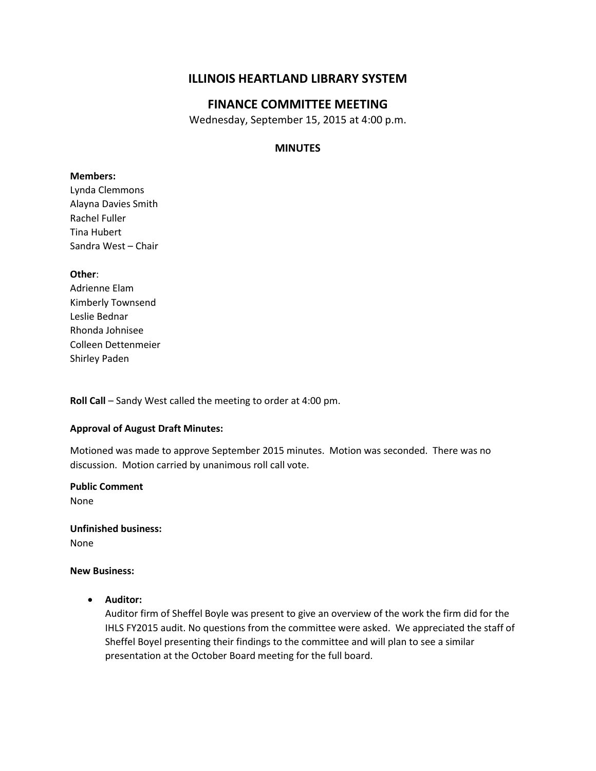# **ILLINOIS HEARTLAND LIBRARY SYSTEM**

# **FINANCE COMMITTEE MEETING**

Wednesday, September 15, 2015 at 4:00 p.m.

#### **MINUTES**

#### **Members:**

Lynda Clemmons Alayna Davies Smith Rachel Fuller Tina Hubert Sandra West – Chair

#### **Other**:

Adrienne Elam Kimberly Townsend Leslie Bednar Rhonda Johnisee Colleen Dettenmeier Shirley Paden

**Roll Call** – Sandy West called the meeting to order at 4:00 pm.

#### **Approval of August Draft Minutes:**

Motioned was made to approve September 2015 minutes. Motion was seconded. There was no discussion. Motion carried by unanimous roll call vote.

**Public Comment**

None

**Unfinished business:** None

#### **New Business:**

**Auditor:**

Auditor firm of Sheffel Boyle was present to give an overview of the work the firm did for the IHLS FY2015 audit. No questions from the committee were asked. We appreciated the staff of Sheffel Boyel presenting their findings to the committee and will plan to see a similar presentation at the October Board meeting for the full board.